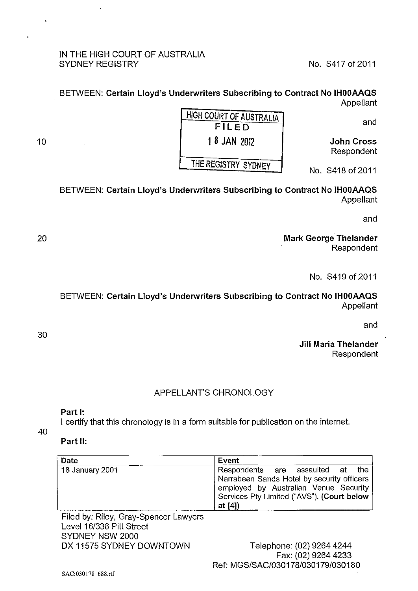#### IN THE HIGH COURT OF AUSTRALIA SYDNEY REGISTRY No. 8417 of 2011

#### BETWEEN: Certain Lloyd's Underwriters Subscribing to Contract No IHOOAAQS Appellant

and

John Cross Respondent

| <b>HIGH COURT OF AUSTRALIA</b> |  |  |
|--------------------------------|--|--|
| <b>FILED</b>                   |  |  |
| 1 8 JAN 2012                   |  |  |
| THE REGISTRY SYDNEY            |  |  |
|                                |  |  |

No. S418 of 2011

## BETWEEN: Certain Lloyd's Underwriters Subscribing to Contract No IHOOAAQS Appellant

and

Mark George Thelander Respondent

No. S419 of 2011

### BETWEEN: Certain Lloyd's Underwriters Subscribing to Contract No IHOOAAQS Appellant

and

Jill Maria Thelander Respondent

# APPELLANT'S CHRONOLOGY

### Part 1:

I certify that this chronology is in a form suitable for publication on the internet.

40

#### Part II:

| Date            | Event                                                                                                                                                                             |
|-----------------|-----------------------------------------------------------------------------------------------------------------------------------------------------------------------------------|
| 18 January 2001 | Respondents are assaulted at the<br>Narrabeen Sands Hotel by security officers<br>employed by Australian Venue Security<br>Services Pty Limited ("AVS"). (Court below<br>at $[4]$ |

Filed by: Riley, Gray-Spencer Lawyers Level 16/338 Pitt Street SYDNEY NSW 2000 DX 11575 SYDNEY DOWNTOWN

Telephone: (02) 9264 4244 Fax: (02) 9264 4233 Ref: MGS/SAC/030178/030179/030180

20

10

30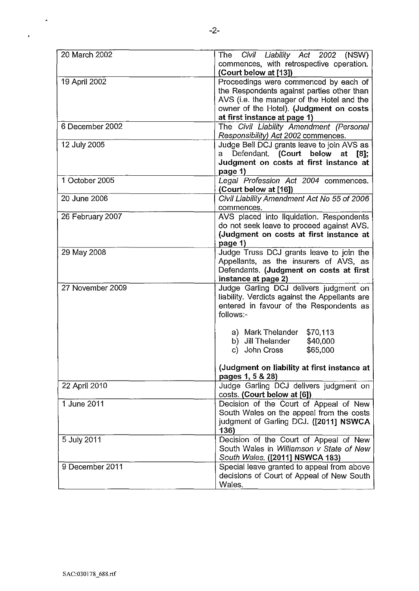| 20 March 2002    | The<br>Civil Liability Act 2002 (NSW)<br>commences, with retrospective operation. |
|------------------|-----------------------------------------------------------------------------------|
|                  | (Court below at [13])                                                             |
| 19 April 2002    | Proceedings were commenced by each of                                             |
|                  | the Respondents against parties other than                                        |
|                  | AVS (i.e. the manager of the Hotel and the                                        |
|                  | owner of the Hotel). (Judgment on costs                                           |
|                  | at first instance at page 1)                                                      |
| 6 December 2002  | The Civil Liability Amendment (Personal                                           |
|                  | Responsibility) Act 2002 commences.                                               |
| 12 July 2005     | Judge Bell DCJ grants leave to join AVS as                                        |
|                  | a Defendant. (Court below at [8];                                                 |
|                  | Judgment on costs at first instance at                                            |
|                  |                                                                                   |
|                  | page 1)                                                                           |
| 1 October 2005   | Legal Profession Act 2004 commences.                                              |
|                  | (Court below at [16])                                                             |
| 20 June 2006     | Civil Liability Amendment Act No 55 of 2006                                       |
|                  | commences.                                                                        |
| 26 February 2007 | AVS placed into liquidation. Respondents                                          |
|                  | do not seek leave to proceed against AVS.                                         |
|                  | (Judgment on costs at first instance at                                           |
|                  | page 1)                                                                           |
| 29 May 2008      | Judge Truss DCJ grants leave to join the                                          |
|                  | Appellants, as the insurers of AVS, as                                            |
|                  | Defendants. (Judgment on costs at first                                           |
|                  | instance at page 2)                                                               |
| 27 November 2009 | Judge Garling DCJ delivers judgment on                                            |
|                  | liability. Verdicts against the Appellants are                                    |
|                  | entered in favour of the Respondents as                                           |
|                  | follows:-                                                                         |
|                  |                                                                                   |
|                  | a) Mark Thelander<br>\$70,113                                                     |
|                  | b) Jill Thelander<br>\$40,000                                                     |
|                  | John Cross<br>\$65,000<br>c).                                                     |
|                  |                                                                                   |
|                  | (Judgment on liability at first instance at                                       |
|                  | pages 1, 5 & 28)                                                                  |
| 22 April 2010    | Judge Garling DCJ delivers judgment on                                            |
|                  | costs. (Court below at [6])                                                       |
| 1 June 2011      | Decision of the Court of Appeal of New                                            |
|                  | South Wales on the appeal from the costs                                          |
|                  | judgment of Garling DCJ. ([2011] NSWCA                                            |
|                  | 136)                                                                              |
|                  |                                                                                   |
| 5 July 2011      | Decision of the Court of Appeal of New                                            |
|                  | South Wales in Williamson v State of New                                          |
|                  | South Wales. ([2011] NSWCA 183)                                                   |
| 9 December 2011  | Special leave granted to appeal from above                                        |
|                  | decisions of Court of Appeal of New South                                         |
|                  | Wales.                                                                            |

 $\mathcal{A}$ 

 $\ddot{\phantom{0}}$